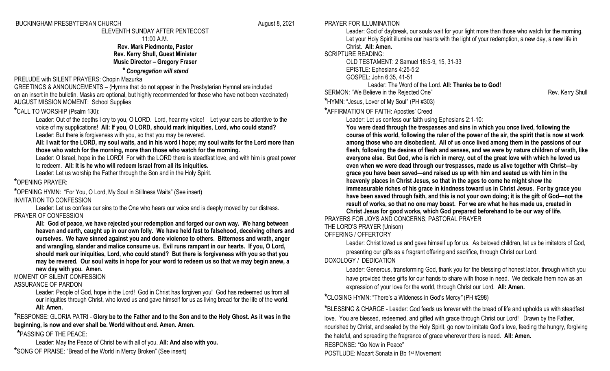#### ELEVENTH SUNDAY AFTER PENTECOST

11:00 A.M.

### **Rev. Mark Piedmonte, Pastor Rev. Kerry Shull, Guest Minister Music Director – Gregory Fraser**

### *\* Congregation will stand*

PRELUDE with SILENT PRAYERS: Chopin Mazurka

GREETINGS & ANNOUNCEMENTS – (Hymns that do not appear in the Presbyterian Hymnal are included on an insert in the bulletin. Masks are optional, but highly recommended for those who have not been vaccinated) AUGUST MISSION MOMENT: School Supplies

**\***CALL TO WORSHIP (Psalm 130):

Leader: Out of the depths I cry to you, O LORD. Lord, hear my voice! Let your ears be attentive to the voice of my supplications! **All: If you, O LORD, should mark iniquities, Lord, who could stand?**  Leader: But there is forgiveness with you, so that you may be revered.

**All: I wait for the LORD, my soul waits, and in his word I hope; my soul waits for the Lord more than those who watch for the morning, more than those who watch for the morning.**

Leader: O Israel, hope in the LORD! For with the LORD there is steadfast love, and with him is great power to redeem. **All: It is he who will redeem Israel from all its iniquities.** 

Leader: Let us worship the Father through the Son and in the Holy Spirit.

#### **\***OPENING PRAYER:

**\***OPENING HYMN: "For You, O Lord, My Soul in Stillness Waits" (See insert)

INVITATION TO CONFESSION

Leader: Let us confess our sins to the One who hears our voice and is deeply moved by our distress. PRAYER OF CONFESSION

**All: God of peace, we have rejected your redemption and forged our own way. We hang between heaven and earth, caught up in our own folly. We have held fast to falsehood, deceiving others and ourselves. We have sinned against you and done violence to others. Bitterness and wrath, anger and wrangling, slander and malice consume us. Evil runs rampant in our hearts. If you, O Lord, should mark our iniquities, Lord, who could stand? But there is forgiveness with you so that you may be revered. Our soul waits in hope for your word to redeem us so that we may begin anew, a new day with you. Amen.** 

# MOMENT OF SILENT CONFESSION

#### ASSURANCE OF PARDON

Leader: People of God, hope in the Lord! God in Christ has forgiven you! God has redeemed us from all our iniquities through Christ, who loved us and gave himself for us as living bread for the life of the world. **All: Amen.** 

**\***RESPONSE: GLORIA PATRI - **Glory be to the Father and to the Son and to the Holy Ghost. As it was in the beginning, is now and ever shall be. World without end. Amen. Amen.**

**\***PASSING OF THE PEACE:

Leader: May the Peace of Christ be with all of you. **All: And also with you.**

**\***SONG OF PRAISE: "Bread of the World in Mercy Broken" (See insert)

PRAYER FOR ILLUMINATION

Leader: God of daybreak, our souls wait for your light more than those who watch for the morning. Let your Holy Spirit illumine our hearts with the light of your redemption, a new day, a new life in Christ. **All: Amen.** 

#### SCRIPTURE READING:

OLD TESTAMENT: 2 Samuel 18:5-9, 15, 31-33

EPISTLE: Ephesians 4:25-5:2

GOSPEL: John 6:35, 41-51

Leader: The Word of the Lord. **All: Thanks be to God!**

SERMON: "We Believe in the Rejected One" Nev. Kerry Shull SERMON: "We Believe in the Rejected One"

**\***HYMN: "Jesus, Lover of My Soul" (PH #303)

**\***AFFIRMATION OF FAITH: Apostles' Creed

Leader: Let us confess our faith using Ephesians 2:1-10:

**You were dead through the trespasses and sins in which you once lived, following the course of this world, following the ruler of the power of the air, the spirit that is now at work among those who are disobedient. All of us once lived among them in the passions of our flesh, following the desires of flesh and senses, and we were by nature children of wrath, like everyone else. But God, who is rich in mercy, out of the great love with which he loved us even when we were dead through our trespasses, made us alive together with Christ—by grace you have been saved—and raised us up with him and seated us with him in the heavenly places in Christ Jesus, so that in the ages to come he might show the immeasurable riches of his grace in kindness toward us in Christ Jesus. For by grace you have been saved through faith, and this is not your own doing; it is the gift of God—not the result of works, so that no one may boast. For we are what he has made us, created in Christ Jesus for good works, which God prepared beforehand to be our way of life.** 

PRAYERS FOR JOYS AND CONCERNS; PASTORAL PRAYER

#### THE LORD'S PRAYER (Unison)

OFFERING / OFFERTORY

Leader: Christ loved us and gave himself up for us. As beloved children, let us be imitators of God, presenting our gifts as a fragrant offering and sacrifice, through Christ our Lord.

#### DOXOLOGY / DEDICATION

Leader: Generous, transforming God, thank you for the blessing of honest labor, through which you have provided these gifts for our hands to share with those in need. We dedicate them now as an expression of your love for the world, through Christ our Lord. **All: Amen.**

**\***CLOSING HYMN: "There's a Wideness in God's Mercy*"* (PH #298)

**\***BLESSING & CHARGE - Leader: God feeds us forever with the bread of life and upholds us with steadfast love. You are blessed, redeemed, and gifted with grace through Christ our Lord! Drawn by the Father, nourished by Christ, and sealed by the Holy Spirit, go now to imitate God's love, feeding the hungry, forgiving

the hateful, and spreading the fragrance of grace wherever there is need. **All: Amen.**

RESPONSE: "Go Now in Peace"

POSTLUDE: Mozart Sonata in Bb 1st Movement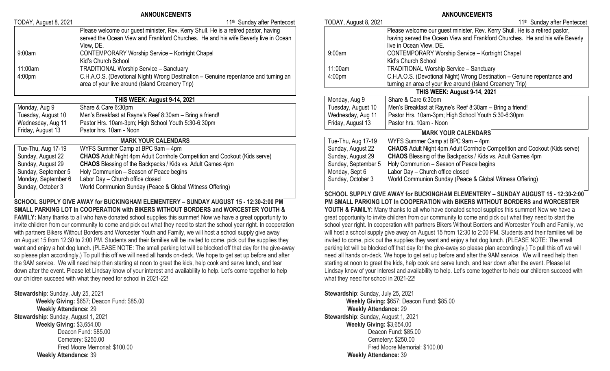|                                                                                                                       | <b>ANNUUNUEMENIS</b>                                                                                        |  |
|-----------------------------------------------------------------------------------------------------------------------|-------------------------------------------------------------------------------------------------------------|--|
| TODAY, August 8, 2021                                                                                                 | 11 <sup>th</sup> Sunday after Pentecost                                                                     |  |
|                                                                                                                       | Please welcome our guest minister, Rev. Kerry Shull. He is a retired pastor, having                         |  |
|                                                                                                                       | served the Ocean View and Frankford Churches. He and his wife Beverly live in Ocean                         |  |
|                                                                                                                       | View, DE.                                                                                                   |  |
| 9:00am                                                                                                                | <b>CONTEMPORARY Worship Service - Kortright Chapel</b>                                                      |  |
|                                                                                                                       | Kid's Church School                                                                                         |  |
| 11:00am                                                                                                               | <b>TRADITIONAL Worship Service - Sanctuary</b>                                                              |  |
| 4:00pm                                                                                                                | C.H.A.O.S. (Devotional Night) Wrong Destination - Genuine repentance and turning an                         |  |
|                                                                                                                       | area of your live around (Island Creamery Trip)                                                             |  |
|                                                                                                                       |                                                                                                             |  |
| <b>THIS WEEK: August 9-14, 2021</b>                                                                                   |                                                                                                             |  |
| Monday, Aug 9                                                                                                         | Share & Care 6:30pm                                                                                         |  |
| Tuesday, August 10                                                                                                    | Men's Breakfast at Rayne's Reef 8:30am - Bring a friend!                                                    |  |
| Wednesday, Aug 11                                                                                                     | Pastor Hrs. 10am-3pm; High School Youth 5:30-6:30pm                                                         |  |
| Friday, August 13                                                                                                     | Pastor hrs. 10am - Noon                                                                                     |  |
| <b>MARK YOUR CALENDARS</b>                                                                                            |                                                                                                             |  |
| Tue-Thu, Aug 17-19                                                                                                    | WYFS Summer Camp at BPC 9am - 4pm                                                                           |  |
| Sunday, August 22                                                                                                     | <b>CHAOS</b> Adult Night 4pm Adult Cornhole Competition and Cookout (Kids serve)                            |  |
| Sunday, August 29                                                                                                     | <b>CHAOS</b> Blessing of the Backpacks / Kids vs. Adult Games 4pm                                           |  |
| Sunday, September 5                                                                                                   | Holy Communion - Season of Peace begins                                                                     |  |
| Monday, September 6                                                                                                   | Labor Day - Church office closed                                                                            |  |
| Sunday, October 3                                                                                                     | World Communion Sunday (Peace & Global Witness Offering)                                                    |  |
|                                                                                                                       | SCHOOL SUPPLY GIVE AWAY for BUCKINGHAM ELEMENTERY - SUNDAY AUGUST 15 - 12:30-2:00 PM                        |  |
|                                                                                                                       | SMALL PARKING LOT In COOPERATION with BIKERS WITHOUT BORDERS and WORCESTER YOUTH &                          |  |
|                                                                                                                       | FAMILY: Many thanks to all who have donated school supplies this summer! Now we have a great opportunity to |  |
| invite children from our community to come and pick out what they need to start the school year right. In cooperation |                                                                                                             |  |
|                                                                                                                       | with partners Bikers Without Borders and Worcester Youth and Family, we will host a school supply give away |  |
| on August 15 from 12:30 to 2:00 PM. Students and their families will be invited to come, pick out the supplies they   |                                                                                                             |  |
| want and enjoy a hot dog lunch. (PLEASE NOTE: The small parking lot will be blocked off that day for the give-away    |                                                                                                             |  |
| so please plan accordingly.) To pull this off we will need all hands on-deck. We hope to get set up before and after  |                                                                                                             |  |
| the 9AM service. We will need help then starting at noon to greet the kids, help cook and serve lunch, and tear       |                                                                                                             |  |
| down after the event. Please let Lindsay know of your interest and availability to help. Let's come together to help  |                                                                                                             |  |
| our children succeed with what they need for school in 2021-22!                                                       |                                                                                                             |  |
|                                                                                                                       |                                                                                                             |  |
| Stewardship: Sunday, July 25, 2021                                                                                    |                                                                                                             |  |
|                                                                                                                       | Mookly Civing: CGE7: Dogoon Eund: CQE 00                                                                    |  |

**ANNOUNCEMENTS**

**Weekly Giving:** \$657; Deacon Fund: \$85.00 **Weekly Attendance:** 29 **Stewardship**: Sunday, August 1, 2021 **Weekly Giving:** \$3,654.00 Deacon Fund: \$85.00 Cemetery: \$250.00 Fred Moore Memorial: \$100.00 **Weekly Attendance:** 39

#### **ANNOUNCEMENTS**

| TODAY, August 8, 2021               | 11 <sup>th</sup> Sunday after Pentecost                                                                          |  |
|-------------------------------------|------------------------------------------------------------------------------------------------------------------|--|
|                                     | Please welcome our guest minister, Rev. Kerry Shull. He is a retired pastor,                                     |  |
|                                     | having served the Ocean View and Frankford Churches. He and his wife Beverly                                     |  |
|                                     | live in Ocean View, DE.                                                                                          |  |
| 9:00am                              | <b>CONTEMPORARY Worship Service - Kortright Chapel</b>                                                           |  |
|                                     | Kid's Church School                                                                                              |  |
| 11:00am                             | <b>TRADITIONAL Worship Service - Sanctuary</b>                                                                   |  |
| 4:00pm                              | C.H.A.O.S. (Devotional Night) Wrong Destination – Genuine repentance and                                         |  |
|                                     | turning an area of your live around (Island Creamery Trip)                                                       |  |
| <b>THIS WEEK: August 9-14, 2021</b> |                                                                                                                  |  |
| Monday, Aug 9                       | Share & Care 6:30pm                                                                                              |  |
| Tuesday, August 10                  | Men's Breakfast at Rayne's Reef 8:30am - Bring a friend!                                                         |  |
| Wednesday, Aug 11                   | Pastor Hrs. 10am-3pm; High School Youth 5:30-6:30pm                                                              |  |
| Friday, August 13                   | Pastor hrs. 10am - Noon                                                                                          |  |
| <b>MARK YOUR CALENDARS</b>          |                                                                                                                  |  |
| Tue-Thu, Aug 17-19                  | WYFS Summer Camp at BPC 9am - 4pm                                                                                |  |
| Sunday, August 22                   | <b>CHAOS</b> Adult Night 4pm Adult Cornhole Competition and Cookout (Kids serve)                                 |  |
| Sunday, August 29                   | <b>CHAOS</b> Blessing of the Backpacks / Kids vs. Adult Games 4pm                                                |  |
| Sunday, September 5                 | Holy Communion - Season of Peace begins                                                                          |  |
| Monday, Sept 6                      | Labor Day - Church office closed                                                                                 |  |
| Sunday, October 3                   | World Communion Sunday (Peace & Global Witness Offering)                                                         |  |
|                                     | SCHOOL SUPPLY GIVE AWAY for BUCKINGHAM ELEMENTERY - SUNDAY AUGUST 15 - 12:30-2:00                                |  |
|                                     | PM SMALL PARKING LOT In COOPERATION with BIKERS WITHOUT BORDERS and WORCESTER                                    |  |
|                                     | YOUTH & FAMILY: Many thanks to all who have donated school supplies this summer! Now we have a                   |  |
|                                     | great opportunity to invite children from our community to come and pick out what they need to start the         |  |
|                                     | school year right. In cooperation with partners Bikers Without Borders and Worcester Youth and Family, we        |  |
|                                     | will host a school supply give away on August 15 from 12:30 to 2:00 PM. Students and their families will be      |  |
|                                     | invited to come, pick out the supplies they want and enjoy a hot dog lunch. (PLEASE NOTE: The small              |  |
|                                     | parking lot will be blocked off that day for the give-away so please plan accordingly.) To pull this off we will |  |
|                                     | need all hands on-deck. We hope to get set up before and after the 9AM service. We will need help then           |  |
|                                     | starting at noon to greet the kids, help cook and serve lunch, and tear down after the event. Please let         |  |

starting at noon to greet the kids, help cook and serve lunch, and tear down after the event. Ple Lindsay know of your interest and availability to help. Let's come together to help our children succeed with what they need for school in 2021-22!

Stewardship: Sunday, July 25, 2021

**Weekly Giving:** \$657; Deacon Fund: \$85.00 **Weekly Attendance:** 29 Stewardship: Sunday, August 1, 2021 **Weekly Giving:** \$3,654.00 Deacon Fund: \$85.00 Cemetery: \$250.00 Fred Moore Memorial: \$100.00 **Weekly Attendance:** 39